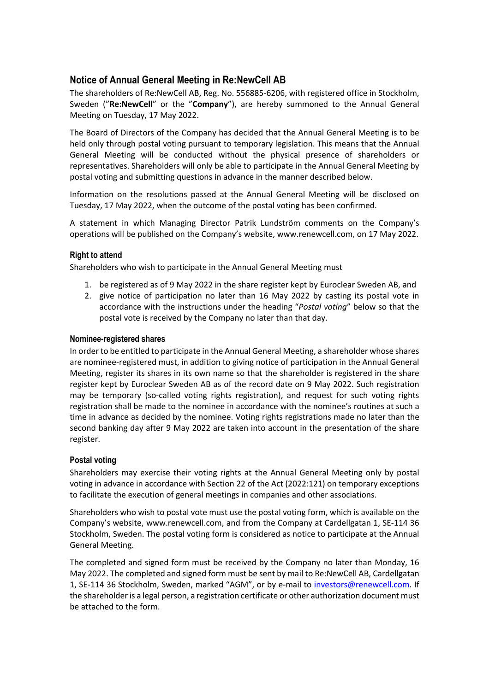## **Notice of Annual General Meeting in Re:NewCell AB**

The shareholders of Re:NewCell AB, Reg. No. 556885-6206, with registered office in Stockholm, Sweden ("**Re:NewCell**" or the "**Company**"), are hereby summoned to the Annual General Meeting on Tuesday, 17 May 2022.

The Board of Directors of the Company has decided that the Annual General Meeting is to be held only through postal voting pursuant to temporary legislation. This means that the Annual General Meeting will be conducted without the physical presence of shareholders or representatives. Shareholders will only be able to participate in the Annual General Meeting by postal voting and submitting questions in advance in the manner described below.

Information on the resolutions passed at the Annual General Meeting will be disclosed on Tuesday, 17 May 2022, when the outcome of the postal voting has been confirmed.

A statement in which Managing Director Patrik Lundström comments on the Company's operations will be published on the Company's website, www.renewcell.com, on 17 May 2022.

## **Right to attend**

Shareholders who wish to participate in the Annual General Meeting must

- 1. be registered as of 9 May 2022 in the share register kept by Euroclear Sweden AB, and
- 2. give notice of participation no later than 16 May 2022 by casting its postal vote in accordance with the instructions under the heading "*Postal voting*" below so that the postal vote is received by the Company no later than that day.

#### **Nominee-registered shares**

In order to be entitled to participate in the Annual General Meeting, a shareholder whose shares are nominee-registered must, in addition to giving notice of participation in the Annual General Meeting, register its shares in its own name so that the shareholder is registered in the share register kept by Euroclear Sweden AB as of the record date on 9 May 2022. Such registration may be temporary (so-called voting rights registration), and request for such voting rights registration shall be made to the nominee in accordance with the nominee's routines at such a time in advance as decided by the nominee. Voting rights registrations made no later than the second banking day after 9 May 2022 are taken into account in the presentation of the share register.

## **Postal voting**

Shareholders may exercise their voting rights at the Annual General Meeting only by postal voting in advance in accordance with Section 22 of the Act (2022:121) on temporary exceptions to facilitate the execution of general meetings in companies and other associations.

Shareholders who wish to postal vote must use the postal voting form, which is available on the Company's website, www.renewcell.com, and from the Company at Cardellgatan 1, SE-114 36 Stockholm, Sweden. The postal voting form is considered as notice to participate at the Annual General Meeting.

The completed and signed form must be received by the Company no later than Monday, 16 May 2022. The completed and signed form must be sent by mail to Re:NewCell AB, Cardellgatan 1, SE-114 36 Stockholm, Sweden, marked "AGM", or by e-mail to investors@renewcell.com. If the shareholder is a legal person, a registration certificate or other authorization document must be attached to the form.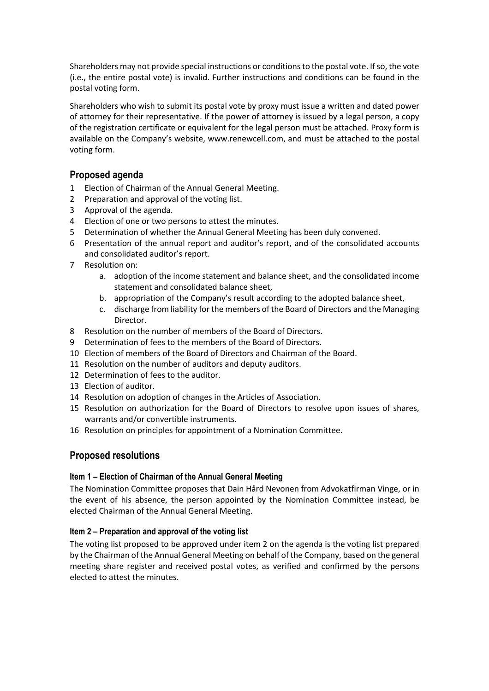Shareholders may not provide special instructions or conditions to the postal vote. If so, the vote (i.e., the entire postal vote) is invalid. Further instructions and conditions can be found in the postal voting form.

Shareholders who wish to submit its postal vote by proxy must issue a written and dated power of attorney for their representative. If the power of attorney is issued by a legal person, a copy of the registration certificate or equivalent for the legal person must be attached. Proxy form is available on the Company's website, www.renewcell.com, and must be attached to the postal voting form.

## **Proposed agenda**

- 1 Election of Chairman of the Annual General Meeting.
- 2 Preparation and approval of the voting list.
- 3 Approval of the agenda.
- 4 Election of one or two persons to attest the minutes.
- 5 Determination of whether the Annual General Meeting has been duly convened.
- 6 Presentation of the annual report and auditor's report, and of the consolidated accounts and consolidated auditor's report.
- 7 Resolution on:
	- a. adoption of the income statement and balance sheet, and the consolidated income statement and consolidated balance sheet,
	- b. appropriation of the Company's result according to the adopted balance sheet,
	- c. discharge from liability for the members of the Board of Directors and the Managing Director.
- 8 Resolution on the number of members of the Board of Directors.
- 9 Determination of fees to the members of the Board of Directors.
- 10 Election of members of the Board of Directors and Chairman of the Board.
- 11 Resolution on the number of auditors and deputy auditors.
- 12 Determination of fees to the auditor.
- 13 Election of auditor.
- 14 Resolution on adoption of changes in the Articles of Association.
- 15 Resolution on authorization for the Board of Directors to resolve upon issues of shares, warrants and/or convertible instruments.
- 16 Resolution on principles for appointment of a Nomination Committee.

# **Proposed resolutions**

## **Item 1 – Election of Chairman of the Annual General Meeting**

The Nomination Committee proposes that Dain Hård Nevonen from Advokatfirman Vinge, or in the event of his absence, the person appointed by the Nomination Committee instead, be elected Chairman of the Annual General Meeting.

## **Item 2 – Preparation and approval of the voting list**

The voting list proposed to be approved under item 2 on the agenda is the voting list prepared by the Chairman of the Annual General Meeting on behalf of the Company, based on the general meeting share register and received postal votes, as verified and confirmed by the persons elected to attest the minutes.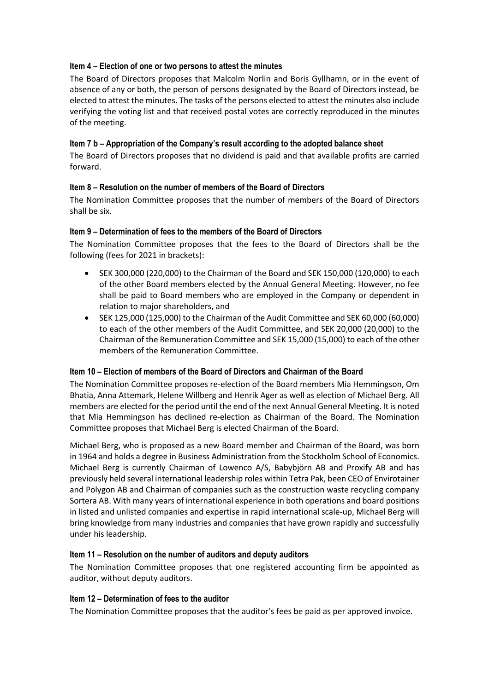## **Item 4 – Election of one or two persons to attest the minutes**

The Board of Directors proposes that Malcolm Norlin and Boris Gyllhamn, or in the event of absence of any or both, the person of persons designated by the Board of Directors instead, be elected to attest the minutes. The tasks of the persons elected to attest the minutes also include verifying the voting list and that received postal votes are correctly reproduced in the minutes of the meeting.

## **Item 7 b – Appropriation of the Company's result according to the adopted balance sheet**

The Board of Directors proposes that no dividend is paid and that available profits are carried forward.

## **Item 8 – Resolution on the number of members of the Board of Directors**

The Nomination Committee proposes that the number of members of the Board of Directors shall be six.

#### **Item 9 – Determination of fees to the members of the Board of Directors**

The Nomination Committee proposes that the fees to the Board of Directors shall be the following (fees for 2021 in brackets):

- SEK 300,000 (220,000) to the Chairman of the Board and SEK 150,000 (120,000) to each of the other Board members elected by the Annual General Meeting. However, no fee shall be paid to Board members who are employed in the Company or dependent in relation to major shareholders, and
- SEK 125,000 (125,000) to the Chairman of the Audit Committee and SEK 60,000 (60,000) to each of the other members of the Audit Committee, and SEK 20,000 (20,000) to the Chairman of the Remuneration Committee and SEK 15,000 (15,000) to each of the other members of the Remuneration Committee.

#### **Item 10 – Election of members of the Board of Directors and Chairman of the Board**

The Nomination Committee proposes re-election of the Board members Mia Hemmingson, Om Bhatia, Anna Attemark, Helene Willberg and Henrik Ager as well as election of Michael Berg. All members are elected for the period until the end of the next Annual General Meeting. It is noted that Mia Hemmingson has declined re-election as Chairman of the Board. The Nomination Committee proposes that Michael Berg is elected Chairman of the Board.

Michael Berg, who is proposed as a new Board member and Chairman of the Board, was born in 1964 and holds a degree in Business Administration from the Stockholm School of Economics. Michael Berg is currently Chairman of Lowenco A/S, Babybjörn AB and Proxify AB and has previously held several international leadership roles within Tetra Pak, been CEO of Envirotainer and Polygon AB and Chairman of companies such as the construction waste recycling company Sortera AB. With many years of international experience in both operations and board positions in listed and unlisted companies and expertise in rapid international scale-up, Michael Berg will bring knowledge from many industries and companies that have grown rapidly and successfully under his leadership.

#### **Item 11 – Resolution on the number of auditors and deputy auditors**

The Nomination Committee proposes that one registered accounting firm be appointed as auditor, without deputy auditors.

#### **Item 12 – Determination of fees to the auditor**

The Nomination Committee proposes that the auditor's fees be paid as per approved invoice.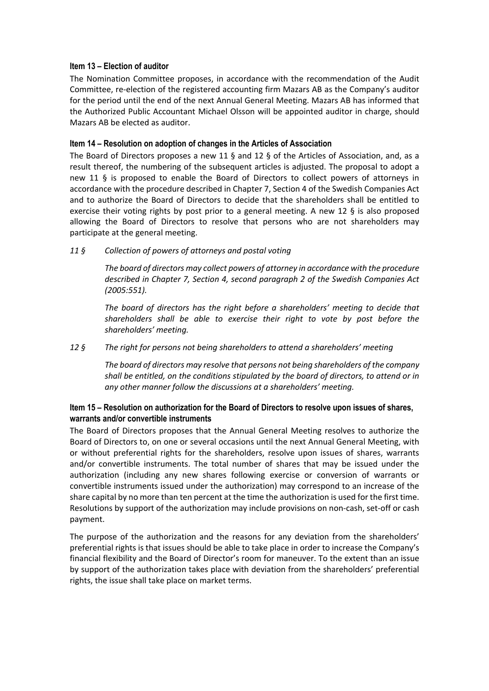## **Item 13 – Election of auditor**

The Nomination Committee proposes, in accordance with the recommendation of the Audit Committee, re-election of the registered accounting firm Mazars AB as the Company's auditor for the period until the end of the next Annual General Meeting. Mazars AB has informed that the Authorized Public Accountant Michael Olsson will be appointed auditor in charge, should Mazars AB be elected as auditor.

#### **Item 14 – Resolution on adoption of changes in the Articles of Association**

The Board of Directors proposes a new 11 § and 12 § of the Articles of Association, and, as a result thereof, the numbering of the subsequent articles is adjusted. The proposal to adopt a new 11 § is proposed to enable the Board of Directors to collect powers of attorneys in accordance with the procedure described in Chapter 7, Section 4 of the Swedish Companies Act and to authorize the Board of Directors to decide that the shareholders shall be entitled to exercise their voting rights by post prior to a general meeting. A new 12 § is also proposed allowing the Board of Directors to resolve that persons who are not shareholders may participate at the general meeting.

## *11 § Collection of powers of attorneys and postal voting*

*The board of directors may collect powers of attorney in accordance with the procedure described in Chapter 7, Section 4, second paragraph 2 of the Swedish Companies Act (2005:551).*

*The board of directors has the right before a shareholders' meeting to decide that shareholders shall be able to exercise their right to vote by post before the shareholders' meeting.* 

#### *12 § The right for persons not being shareholders to attend a shareholders' meeting*

*The board of directors may resolve that persons not being shareholders of the company shall be entitled, on the conditions stipulated by the board of directors, to attend or in any other manner follow the discussions at a shareholders' meeting.*

## **Item 15 – Resolution on authorization for the Board of Directors to resolve upon issues of shares, warrants and/or convertible instruments**

The Board of Directors proposes that the Annual General Meeting resolves to authorize the Board of Directors to, on one or several occasions until the next Annual General Meeting, with or without preferential rights for the shareholders, resolve upon issues of shares, warrants and/or convertible instruments. The total number of shares that may be issued under the authorization (including any new shares following exercise or conversion of warrants or convertible instruments issued under the authorization) may correspond to an increase of the share capital by no more than ten percent at the time the authorization is used for the first time. Resolutions by support of the authorization may include provisions on non-cash, set-off or cash payment.

The purpose of the authorization and the reasons for any deviation from the shareholders' preferential rights is that issues should be able to take place in order to increase the Company's financial flexibility and the Board of Director's room for maneuver. To the extent than an issue by support of the authorization takes place with deviation from the shareholders' preferential rights, the issue shall take place on market terms.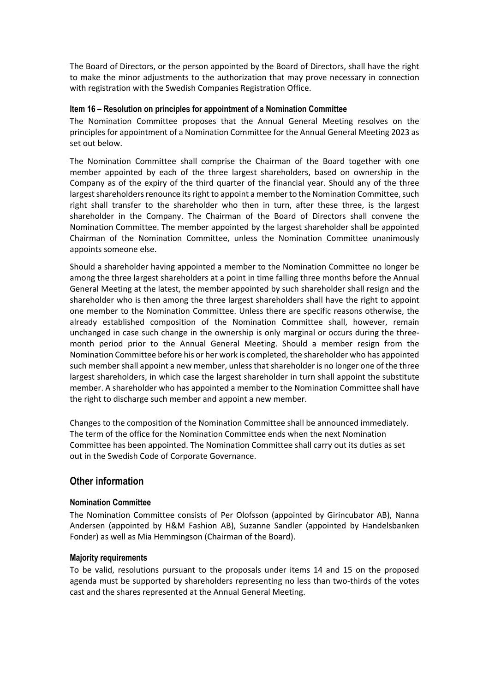The Board of Directors, or the person appointed by the Board of Directors, shall have the right to make the minor adjustments to the authorization that may prove necessary in connection with registration with the Swedish Companies Registration Office.

## **Item 16 – Resolution on principles for appointment of a Nomination Committee**

The Nomination Committee proposes that the Annual General Meeting resolves on the principles for appointment of a Nomination Committee for the Annual General Meeting 2023 as set out below.

The Nomination Committee shall comprise the Chairman of the Board together with one member appointed by each of the three largest shareholders, based on ownership in the Company as of the expiry of the third quarter of the financial year. Should any of the three largest shareholders renounce its right to appoint a memberto the Nomination Committee, such right shall transfer to the shareholder who then in turn, after these three, is the largest shareholder in the Company. The Chairman of the Board of Directors shall convene the Nomination Committee. The member appointed by the largest shareholder shall be appointed Chairman of the Nomination Committee, unless the Nomination Committee unanimously appoints someone else.

Should a shareholder having appointed a member to the Nomination Committee no longer be among the three largest shareholders at a point in time falling three months before the Annual General Meeting at the latest, the member appointed by such shareholder shall resign and the shareholder who is then among the three largest shareholders shall have the right to appoint one member to the Nomination Committee. Unless there are specific reasons otherwise, the already established composition of the Nomination Committee shall, however, remain unchanged in case such change in the ownership is only marginal or occurs during the threemonth period prior to the Annual General Meeting. Should a member resign from the Nomination Committee before his or her work is completed, the shareholder who has appointed such member shall appoint a new member, unless that shareholder is no longer one of the three largest shareholders, in which case the largest shareholder in turn shall appoint the substitute member. A shareholder who has appointed a member to the Nomination Committee shall have the right to discharge such member and appoint a new member.

Changes to the composition of the Nomination Committee shall be announced immediately. The term of the office for the Nomination Committee ends when the next Nomination Committee has been appointed. The Nomination Committee shall carry out its duties as set out in the Swedish Code of Corporate Governance.

# **Other information**

## **Nomination Committee**

The Nomination Committee consists of Per Olofsson (appointed by Girincubator AB), Nanna Andersen (appointed by H&M Fashion AB), Suzanne Sandler (appointed by Handelsbanken Fonder) as well as Mia Hemmingson (Chairman of the Board).

#### **Majority requirements**

To be valid, resolutions pursuant to the proposals under items 14 and 15 on the proposed agenda must be supported by shareholders representing no less than two-thirds of the votes cast and the shares represented at the Annual General Meeting.